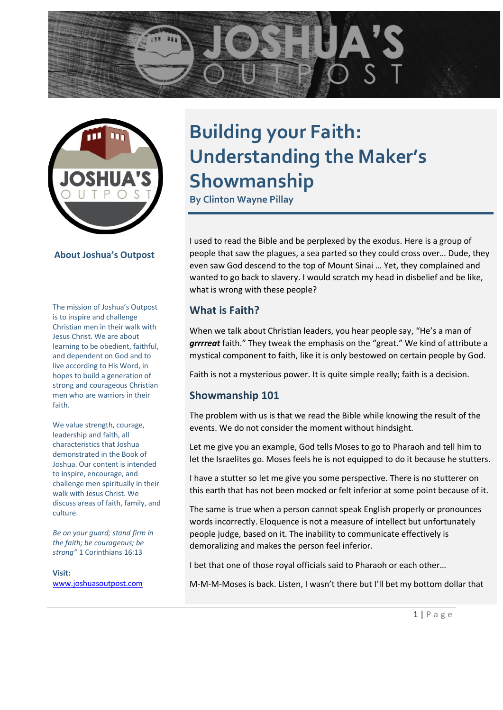



**About Joshua's Outpost**

The mission of Joshua's Outpost is to inspire and challenge Christian men in their walk with Jesus Christ. We are about learning to be obedient, faithful, and dependent on God and to live according to His Word, in hopes to build a generation of strong and courageous Christian men who are warriors in their faith.

We value strength, courage, leadership and faith, all characteristics that Joshua demonstrated in the Book of Joshua. Our content is intended to inspire, encourage, and challenge men spiritually in their walk with Jesus Christ. We discuss areas of faith, family, and culture.

*Be on your guard; stand firm in the faith; be courageous; be strong"* 1 Corinthians 16:13

**Visit:**  [www.joshuasoutpost.com](file:///C:/Users/clint/Documents/Joshua)

# **Building your Faith: Understanding the Maker's Showmanship**

**By Clinton Wayne Pillay**

I used to read the Bible and be perplexed by the exodus. Here is a group of people that saw the plagues, a sea parted so they could cross over… Dude, they even saw God descend to the top of Mount Sinai … Yet, they complained and wanted to go back to slavery. I would scratch my head in disbelief and be like, what is wrong with these people?

## **What is Faith?**

When we talk about Christian leaders, you hear people say, "He's a man of *grrrreat* faith." They tweak the emphasis on the "great." We kind of attribute a mystical component to faith, like it is only bestowed on certain people by God.

Faith is not a mysterious power. It is quite simple really; faith is a decision.

## **Showmanship 101**

The problem with us is that we read the Bible while knowing the result of the events. We do not consider the moment without hindsight.

Let me give you an example, God tells Moses to go to Pharaoh and tell him to let the Israelites go. Moses feels he is not equipped to do it because he stutters.

I have a stutter so let me give you some perspective. There is no stutterer on this earth that has not been mocked or felt inferior at some point because of it.

The same is true when a person cannot speak English properly or pronounces words incorrectly. Eloquence is not a measure of intellect but unfortunately people judge, based on it. The inability to communicate effectively is demoralizing and makes the person feel inferior.

I bet that one of those royal officials said to Pharaoh or each other…

M-M-M-Moses is back. Listen, I wasn't there but I'll bet my bottom dollar that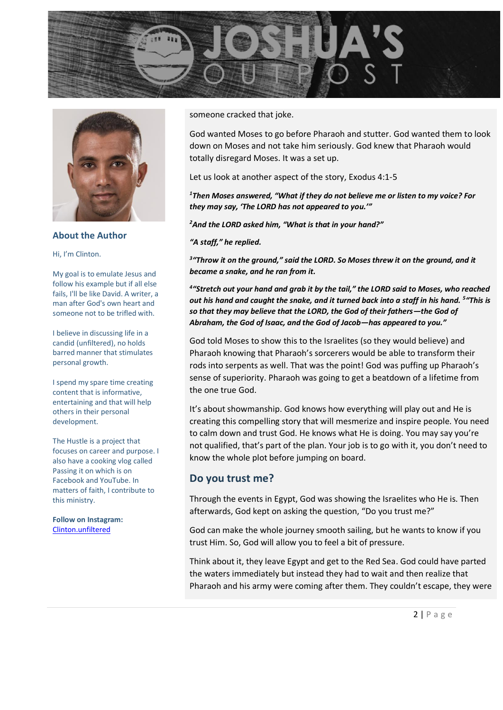



**About the Author**

Hi, I'm Clinton.

My goal is to emulate Jesus and follow his example but if all else fails, I'll be like David. A writer, a man after God's own heart and someone not to be trifled with.

I believe in discussing life in a candid (unfiltered), no holds barred manner that stimulates personal growth.

I spend my spare time creating content that is informative, entertaining and that will help others in their personal development.

The Hustle is a project that focuses on career and purpose. I also have a cooking vlog called Passing it on which is on Facebook and YouTube. In matters of faith, I contribute to this ministry.

**Follow on Instagram:** [Clinton.unfiltered](https://www.instagram.com/clinton.unfiltered/?hl=en)

someone cracked that joke.

God wanted Moses to go before Pharaoh and stutter. God wanted them to look down on Moses and not take him seriously. God knew that Pharaoh would totally disregard Moses. It was a set up.

Let us look at another aspect of the story, Exodus 4:1-5

*<sup>1</sup>Then Moses answered, "What if they do not believe me or listen to my voice? For they may say, 'The LORD has not appeared to you.'"*

*<sup>2</sup>And the LORD asked him, "What is that in your hand?"*

*"A staff," he replied.*

*3 "Throw it on the ground," said the LORD. So Moses threw it on the ground, and it became a snake, and he ran from it.*

*4 "Stretch out your hand and grab it by the tail," the LORD said to Moses, who reached*  out his hand and caught the snake, and it turned back into a staff in his hand. <sup>5</sup> "This is *so that they may believe that the LORD, the God of their fathers—the God of Abraham, the God of Isaac, and the God of Jacob—has appeared to you."*

God told Moses to show this to the Israelites (so they would believe) and Pharaoh knowing that Pharaoh's sorcerers would be able to transform their rods into serpents as well. That was the point! God was puffing up Pharaoh's sense of superiority. Pharaoh was going to get a beatdown of a lifetime from the one true God.

It's about showmanship. God knows how everything will play out and He is creating this compelling story that will mesmerize and inspire people. You need to calm down and trust God. He knows what He is doing. You may say you're not qualified, that's part of the plan. Your job is to go with it, you don't need to know the whole plot before jumping on board.

#### **Do you trust me?**

Through the events in Egypt, God was showing the Israelites who He is. Then afterwards, God kept on asking the question, "Do you trust me?"

God can make the whole journey smooth sailing, but he wants to know if you trust Him. So, God will allow you to feel a bit of pressure.

Think about it, they leave Egypt and get to the Red Sea. God could have parted the waters immediately but instead they had to wait and then realize that Pharaoh and his army were coming after them. They couldn't escape, they were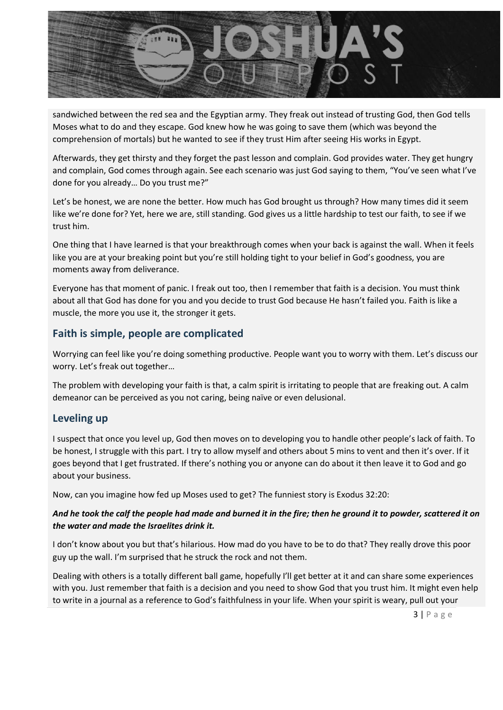

sandwiched between the red sea and the Egyptian army. They freak out instead of trusting God, then God tells Moses what to do and they escape. God knew how he was going to save them (which was beyond the comprehension of mortals) but he wanted to see if they trust Him after seeing His works in Egypt.

Afterwards, they get thirsty and they forget the past lesson and complain. God provides water. They get hungry and complain, God comes through again. See each scenario was just God saying to them, "You've seen what I've done for you already… Do you trust me?"

Let's be honest, we are none the better. How much has God brought us through? How many times did it seem like we're done for? Yet, here we are, still standing. God gives us a little hardship to test our faith, to see if we trust him.

One thing that I have learned is that your breakthrough comes when your back is against the wall. When it feels like you are at your breaking point but you're still holding tight to your belief in God's goodness, you are moments away from deliverance.

Everyone has that moment of panic. I freak out too, then I remember that faith is a decision. You must think about all that God has done for you and you decide to trust God because He hasn't failed you. Faith is like a muscle, the more you use it, the stronger it gets.

## **Faith is simple, people are complicated**

Worrying can feel like you're doing something productive. People want you to worry with them. Let's discuss our worry. Let's freak out together…

The problem with developing your faith is that, a calm spirit is irritating to people that are freaking out. A calm demeanor can be perceived as you not caring, being naïve or even delusional.

### **Leveling up**

I suspect that once you level up, God then moves on to developing you to handle other people's lack of faith. To be honest, I struggle with this part. I try to allow myself and others about 5 mins to vent and then it's over. If it goes beyond that I get frustrated. If there's nothing you or anyone can do about it then leave it to God and go about your business.

Now, can you imagine how fed up Moses used to get? The funniest story is Exodus 32:20:

#### *And he took the calf the people had made and burned it in the fire; then he ground it to powder, scattered it on the water and made the Israelites drink it.*

I don't know about you but that's hilarious. How mad do you have to be to do that? They really drove this poor guy up the wall. I'm surprised that he struck the rock and not them.

Dealing with others is a totally different ball game, hopefully I'll get better at it and can share some experiences with you. Just remember that faith is a decision and you need to show God that you trust him. It might even help to write in a journal as a reference to God's faithfulness in your life. When your spirit is weary, pull out your